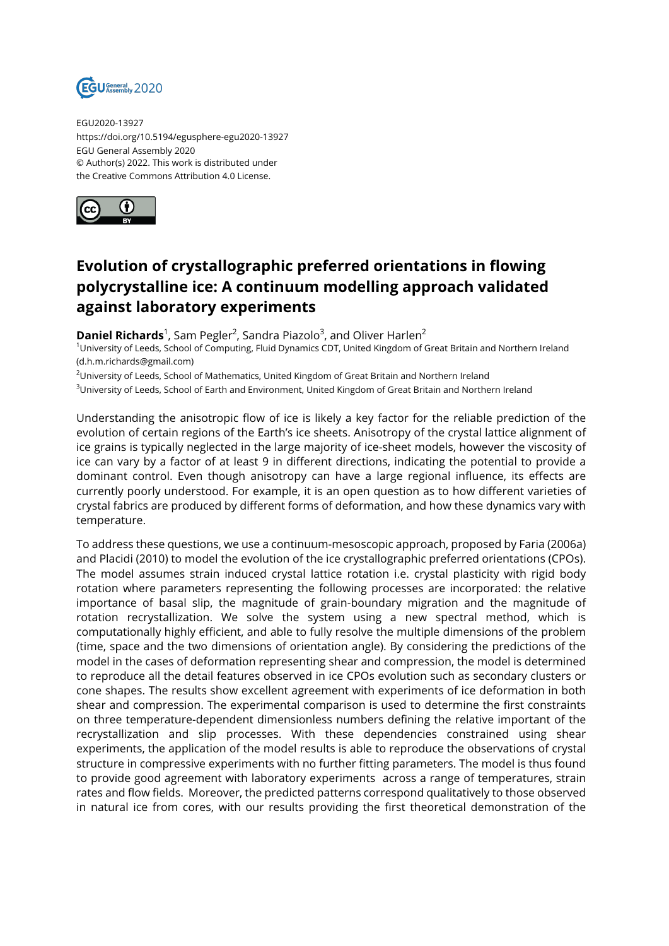

EGU2020-13927 https://doi.org/10.5194/egusphere-egu2020-13927 EGU General Assembly 2020 © Author(s) 2022. This work is distributed under the Creative Commons Attribution 4.0 License.



## **Evolution of crystallographic preferred orientations in flowing polycrystalline ice: A continuum modelling approach validated against laboratory experiments**

**Daniel Richards**<sup>1</sup>, Sam Pegler<sup>2</sup>, Sandra Piazolo<sup>3</sup>, and Oliver Harlen<sup>2</sup>

<sup>1</sup>University of Leeds, School of Computing, Fluid Dynamics CDT, United Kingdom of Great Britain and Northern Ireland (d.h.m.richards@gmail.com)

<sup>2</sup>University of Leeds, School of Mathematics, United Kingdom of Great Britain and Northern Ireland

<sup>3</sup>University of Leeds, School of Earth and Environment, United Kingdom of Great Britain and Northern Ireland

Understanding the anisotropic flow of ice is likely a key factor for the reliable prediction of the evolution of certain regions of the Earth's ice sheets. Anisotropy of the crystal lattice alignment of ice grains is typically neglected in the large majority of ice-sheet models, however the viscosity of ice can vary by a factor of at least 9 in different directions, indicating the potential to provide a dominant control. Even though anisotropy can have a large regional influence, its effects are currently poorly understood. For example, it is an open question as to how different varieties of crystal fabrics are produced by different forms of deformation, and how these dynamics vary with temperature.

To address these questions, we use a continuum-mesoscopic approach, proposed by Faria (2006a) and Placidi (2010) to model the evolution of the ice crystallographic preferred orientations (CPOs). The model assumes strain induced crystal lattice rotation i.e. crystal plasticity with rigid body rotation where parameters representing the following processes are incorporated: the relative importance of basal slip, the magnitude of grain-boundary migration and the magnitude of rotation recrystallization. We solve the system using a new spectral method, which is computationally highly efficient, and able to fully resolve the multiple dimensions of the problem (time, space and the two dimensions of orientation angle). By considering the predictions of the model in the cases of deformation representing shear and compression, the model is determined to reproduce all the detail features observed in ice CPOs evolution such as secondary clusters or cone shapes. The results show excellent agreement with experiments of ice deformation in both shear and compression. The experimental comparison is used to determine the first constraints on three temperature-dependent dimensionless numbers defining the relative important of the recrystallization and slip processes. With these dependencies constrained using shear experiments, the application of the model results is able to reproduce the observations of crystal structure in compressive experiments with no further fitting parameters. The model is thus found to provide good agreement with laboratory experiments across a range of temperatures, strain rates and flow fields. Moreover, the predicted patterns correspond qualitatively to those observed in natural ice from cores, with our results providing the first theoretical demonstration of the